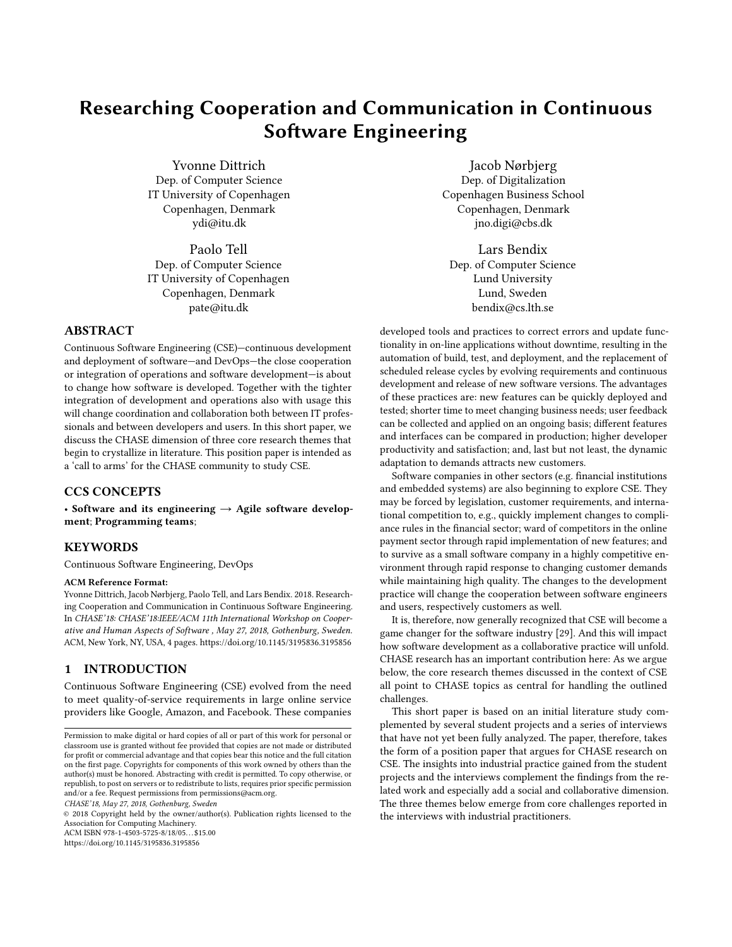# Researching Cooperation and Communication in Continuous Software Engineering

Yvonne Dittrich Dep. of Computer Science IT University of Copenhagen Copenhagen, Denmark ydi@itu.dk

Paolo Tell Dep. of Computer Science IT University of Copenhagen Copenhagen, Denmark pate@itu.dk

## ABSTRACT

Continuous Software Engineering (CSE)—continuous development and deployment of software—and DevOps—the close cooperation or integration of operations and software development—is about to change how software is developed. Together with the tighter integration of development and operations also with usage this will change coordination and collaboration both between IT professionals and between developers and users. In this short paper, we discuss the CHASE dimension of three core research themes that begin to crystallize in literature. This position paper is intended as a 'call to arms' for the CHASE community to study CSE.

## CCS CONCEPTS

• Software and its engineering  $\rightarrow$  Agile software development; Programming teams;

## **KEYWORDS**

Continuous Software Engineering, DevOps

#### ACM Reference Format:

Yvonne Dittrich, Jacob Nørbjerg, Paolo Tell, and Lars Bendix. 2018. Researching Cooperation and Communication in Continuous Software Engineering. In CHASE'18: CHASE'18:IEEE/ACM 11th International Workshop on Cooperative and Human Aspects of Software , May 27, 2018, Gothenburg, Sweden. ACM, New York, NY, USA, [4](#page-3-0) pages.<https://doi.org/10.1145/3195836.3195856>

## 1 INTRODUCTION

Continuous Software Engineering (CSE) evolved from the need to meet quality-of-service requirements in large online service providers like Google, Amazon, and Facebook. These companies

© 2018 Copyright held by the owner/author(s). Publication rights licensed to the Association for Computing Machinery. ACM ISBN 978-1-4503-5725-8/18/05. . . \$15.00

<https://doi.org/10.1145/3195836.3195856>

Jacob Nørbjerg Dep. of Digitalization Copenhagen Business School Copenhagen, Denmark jno.digi@cbs.dk

Lars Bendix Dep. of Computer Science Lund University Lund, Sweden bendix@cs.lth.se

developed tools and practices to correct errors and update functionality in on-line applications without downtime, resulting in the automation of build, test, and deployment, and the replacement of scheduled release cycles by evolving requirements and continuous development and release of new software versions. The advantages of these practices are: new features can be quickly deployed and tested; shorter time to meet changing business needs; user feedback can be collected and applied on an ongoing basis; different features and interfaces can be compared in production; higher developer productivity and satisfaction; and, last but not least, the dynamic adaptation to demands attracts new customers.

Software companies in other sectors (e.g. financial institutions and embedded systems) are also beginning to explore CSE. They may be forced by legislation, customer requirements, and international competition to, e.g., quickly implement changes to compliance rules in the financial sector; ward of competitors in the online payment sector through rapid implementation of new features; and to survive as a small software company in a highly competitive environment through rapid response to changing customer demands while maintaining high quality. The changes to the development practice will change the cooperation between software engineers and users, respectively customers as well.

It is, therefore, now generally recognized that CSE will become a game changer for the software industry [\[29\]](#page-3-1). And this will impact how software development as a collaborative practice will unfold. CHASE research has an important contribution here: As we argue below, the core research themes discussed in the context of CSE all point to CHASE topics as central for handling the outlined challenges.

This short paper is based on an initial literature study complemented by several student projects and a series of interviews that have not yet been fully analyzed. The paper, therefore, takes the form of a position paper that argues for CHASE research on CSE. The insights into industrial practice gained from the student projects and the interviews complement the findings from the related work and especially add a social and collaborative dimension. The three themes below emerge from core challenges reported in the interviews with industrial practitioners.

Permission to make digital or hard copies of all or part of this work for personal or classroom use is granted without fee provided that copies are not made or distributed for profit or commercial advantage and that copies bear this notice and the full citation on the first page. Copyrights for components of this work owned by others than the author(s) must be honored. Abstracting with credit is permitted. To copy otherwise, or republish, to post on servers or to redistribute to lists, requires prior specific permission and/or a fee. Request permissions from permissions@acm.org.

CHASE'18, May 27, 2018, Gothenburg, Sweden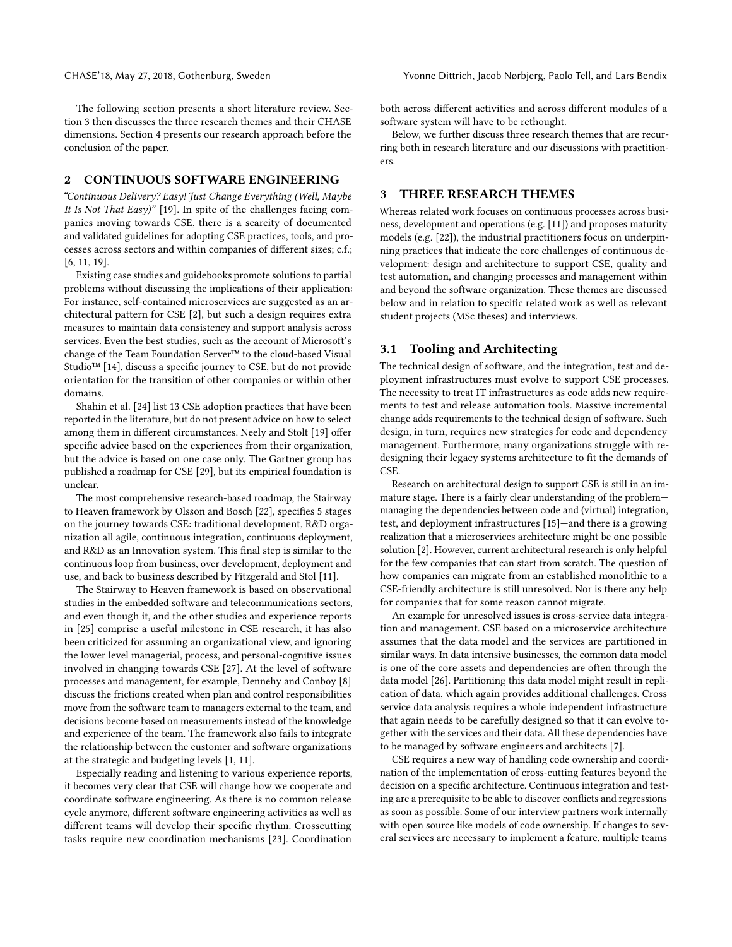The following section presents a short literature review. Section 3 then discusses the three research themes and their CHASE dimensions. Section 4 presents our research approach before the conclusion of the paper.

## 2 CONTINUOUS SOFTWARE ENGINEERING

"Continuous Delivery? Easy! Just Change Everything (Well, Maybe It Is Not That Easy)" [\[19\]](#page-3-2). In spite of the challenges facing companies moving towards CSE, there is a scarcity of documented and validated guidelines for adopting CSE practices, tools, and processes across sectors and within companies of different sizes; c.f.; [\[6,](#page-3-3) [11,](#page-3-4) [19\]](#page-3-2).

Existing case studies and guidebooks promote solutions to partial problems without discussing the implications of their application: For instance, self-contained microservices are suggested as an architectural pattern for CSE [\[2\]](#page-3-5), but such a design requires extra measures to maintain data consistency and support analysis across services. Even the best studies, such as the account of Microsoft's change of the Team Foundation Server™ to the cloud-based Visual Studio™ [\[14\]](#page-3-6), discuss a specific journey to CSE, but do not provide orientation for the transition of other companies or within other domains.

Shahin et al. [\[24\]](#page-3-7) list 13 CSE adoption practices that have been reported in the literature, but do not present advice on how to select among them in different circumstances. Neely and Stolt [\[19\]](#page-3-2) offer specific advice based on the experiences from their organization, but the advice is based on one case only. The Gartner group has published a roadmap for CSE [\[29\]](#page-3-1), but its empirical foundation is unclear.

The most comprehensive research-based roadmap, the Stairway to Heaven framework by Olsson and Bosch [\[22\]](#page-3-8), specifies 5 stages on the journey towards CSE: traditional development, R&D organization all agile, continuous integration, continuous deployment, and R&D as an Innovation system. This final step is similar to the continuous loop from business, over development, deployment and use, and back to business described by Fitzgerald and Stol [\[11\]](#page-3-4).

The Stairway to Heaven framework is based on observational studies in the embedded software and telecommunications sectors, and even though it, and the other studies and experience reports in [\[25\]](#page-3-9) comprise a useful milestone in CSE research, it has also been criticized for assuming an organizational view, and ignoring the lower level managerial, process, and personal-cognitive issues involved in changing towards CSE [\[27\]](#page-3-10). At the level of software processes and management, for example, Dennehy and Conboy [\[8\]](#page-3-11) discuss the frictions created when plan and control responsibilities move from the software team to managers external to the team, and decisions become based on measurements instead of the knowledge and experience of the team. The framework also fails to integrate the relationship between the customer and software organizations at the strategic and budgeting levels [\[1,](#page-3-12) [11\]](#page-3-4).

Especially reading and listening to various experience reports, it becomes very clear that CSE will change how we cooperate and coordinate software engineering. As there is no common release cycle anymore, different software engineering activities as well as different teams will develop their specific rhythm. Crosscutting tasks require new coordination mechanisms [\[23\]](#page-3-13). Coordination

both across different activities and across different modules of a software system will have to be rethought.

Below, we further discuss three research themes that are recurring both in research literature and our discussions with practitioners.

## 3 THREE RESEARCH THEMES

Whereas related work focuses on continuous processes across business, development and operations (e.g. [\[11\]](#page-3-4)) and proposes maturity models (e.g. [\[22\]](#page-3-8)), the industrial practitioners focus on underpinning practices that indicate the core challenges of continuous development: design and architecture to support CSE, quality and test automation, and changing processes and management within and beyond the software organization. These themes are discussed below and in relation to specific related work as well as relevant student projects (MSc theses) and interviews.

#### 3.1 Tooling and Architecting

The technical design of software, and the integration, test and deployment infrastructures must evolve to support CSE processes. The necessity to treat IT infrastructures as code adds new requirements to test and release automation tools. Massive incremental change adds requirements to the technical design of software. Such design, in turn, requires new strategies for code and dependency management. Furthermore, many organizations struggle with redesigning their legacy systems architecture to fit the demands of CSE.

Research on architectural design to support CSE is still in an immature stage. There is a fairly clear understanding of the problem managing the dependencies between code and (virtual) integration, test, and deployment infrastructures [\[15\]](#page-3-14)—and there is a growing realization that a microservices architecture might be one possible solution [\[2\]](#page-3-5). However, current architectural research is only helpful for the few companies that can start from scratch. The question of how companies can migrate from an established monolithic to a CSE-friendly architecture is still unresolved. Nor is there any help for companies that for some reason cannot migrate.

An example for unresolved issues is cross-service data integration and management. CSE based on a microservice architecture assumes that the data model and the services are partitioned in similar ways. In data intensive businesses, the common data model is one of the core assets and dependencies are often through the data model [\[26\]](#page-3-15). Partitioning this data model might result in replication of data, which again provides additional challenges. Cross service data analysis requires a whole independent infrastructure that again needs to be carefully designed so that it can evolve together with the services and their data. All these dependencies have to be managed by software engineers and architects [\[7\]](#page-3-16).

CSE requires a new way of handling code ownership and coordination of the implementation of cross-cutting features beyond the decision on a specific architecture. Continuous integration and testing are a prerequisite to be able to discover conflicts and regressions as soon as possible. Some of our interview partners work internally with open source like models of code ownership. If changes to several services are necessary to implement a feature, multiple teams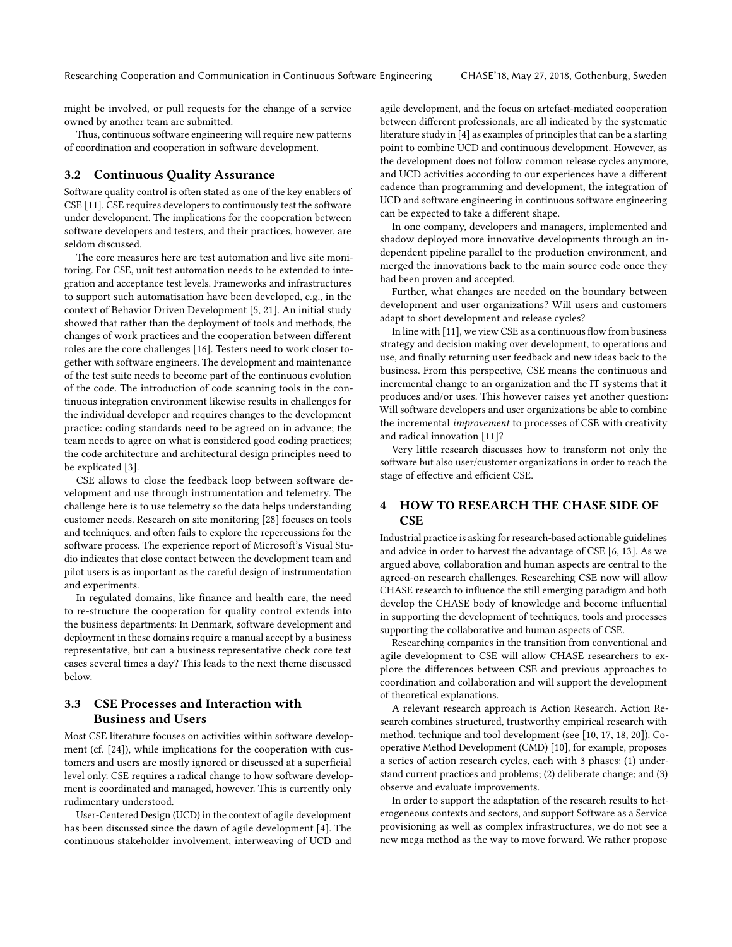might be involved, or pull requests for the change of a service owned by another team are submitted.

Thus, continuous software engineering will require new patterns of coordination and cooperation in software development.

#### 3.2 Continuous Quality Assurance

Software quality control is often stated as one of the key enablers of CSE [\[11\]](#page-3-4). CSE requires developers to continuously test the software under development. The implications for the cooperation between software developers and testers, and their practices, however, are seldom discussed.

The core measures here are test automation and live site monitoring. For CSE, unit test automation needs to be extended to integration and acceptance test levels. Frameworks and infrastructures to support such automatisation have been developed, e.g., in the context of Behavior Driven Development [\[5,](#page-3-17) [21\]](#page-3-18). An initial study showed that rather than the deployment of tools and methods, the changes of work practices and the cooperation between different roles are the core challenges [\[16\]](#page-3-19). Testers need to work closer together with software engineers. The development and maintenance of the test suite needs to become part of the continuous evolution of the code. The introduction of code scanning tools in the continuous integration environment likewise results in challenges for the individual developer and requires changes to the development practice: coding standards need to be agreed on in advance; the team needs to agree on what is considered good coding practices; the code architecture and architectural design principles need to be explicated [\[3\]](#page-3-20).

CSE allows to close the feedback loop between software development and use through instrumentation and telemetry. The challenge here is to use telemetry so the data helps understanding customer needs. Research on site monitoring [\[28\]](#page-3-21) focuses on tools and techniques, and often fails to explore the repercussions for the software process. The experience report of Microsoft's Visual Studio indicates that close contact between the development team and pilot users is as important as the careful design of instrumentation and experiments.

In regulated domains, like finance and health care, the need to re-structure the cooperation for quality control extends into the business departments: In Denmark, software development and deployment in these domains require a manual accept by a business representative, but can a business representative check core test cases several times a day? This leads to the next theme discussed below.

# 3.3 CSE Processes and Interaction with Business and Users

Most CSE literature focuses on activities within software development (cf. [\[24\]](#page-3-7)), while implications for the cooperation with customers and users are mostly ignored or discussed at a superficial level only. CSE requires a radical change to how software development is coordinated and managed, however. This is currently only rudimentary understood.

User-Centered Design (UCD) in the context of agile development has been discussed since the dawn of agile development [\[4\]](#page-3-22). The continuous stakeholder involvement, interweaving of UCD and agile development, and the focus on artefact-mediated cooperation between different professionals, are all indicated by the systematic literature study in [\[4\]](#page-3-22) as examples of principles that can be a starting point to combine UCD and continuous development. However, as the development does not follow common release cycles anymore, and UCD activities according to our experiences have a different cadence than programming and development, the integration of UCD and software engineering in continuous software engineering can be expected to take a different shape.

In one company, developers and managers, implemented and shadow deployed more innovative developments through an independent pipeline parallel to the production environment, and merged the innovations back to the main source code once they had been proven and accepted.

Further, what changes are needed on the boundary between development and user organizations? Will users and customers adapt to short development and release cycles?

In line with [\[11\]](#page-3-4), we view CSE as a continuous flow from business strategy and decision making over development, to operations and use, and finally returning user feedback and new ideas back to the business. From this perspective, CSE means the continuous and incremental change to an organization and the IT systems that it produces and/or uses. This however raises yet another question: Will software developers and user organizations be able to combine the incremental improvement to processes of CSE with creativity and radical innovation [\[11\]](#page-3-4)?

Very little research discusses how to transform not only the software but also user/customer organizations in order to reach the stage of effective and efficient CSE.

# 4 HOW TO RESEARCH THE CHASE SIDE OF CSE

Industrial practice is asking for research-based actionable guidelines and advice in order to harvest the advantage of CSE [\[6,](#page-3-3) [13\]](#page-3-23). As we argued above, collaboration and human aspects are central to the agreed-on research challenges. Researching CSE now will allow CHASE research to influence the still emerging paradigm and both develop the CHASE body of knowledge and become influential in supporting the development of techniques, tools and processes supporting the collaborative and human aspects of CSE.

Researching companies in the transition from conventional and agile development to CSE will allow CHASE researchers to explore the differences between CSE and previous approaches to coordination and collaboration and will support the development of theoretical explanations.

A relevant research approach is Action Research. Action Research combines structured, trustworthy empirical research with method, technique and tool development (see [\[10,](#page-3-24) [17,](#page-3-25) [18,](#page-3-26) [20\]](#page-3-27)). Cooperative Method Development (CMD) [\[10\]](#page-3-24), for example, proposes a series of action research cycles, each with 3 phases: (1) understand current practices and problems; (2) deliberate change; and (3) observe and evaluate improvements.

In order to support the adaptation of the research results to heterogeneous contexts and sectors, and support Software as a Service provisioning as well as complex infrastructures, we do not see a new mega method as the way to move forward. We rather propose